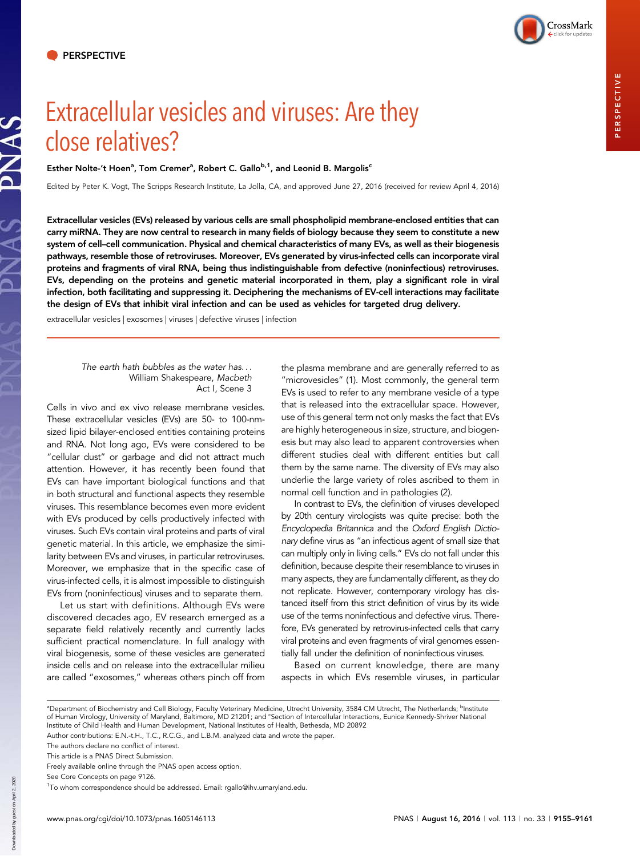NAS



# Extracellular vesicles and viruses: Are they close relatives?

Esther Nolte-'t Hoen<sup>a</sup>, Tom Cremer<sup>a</sup>, Robert C. Gallo<sup>b,1</sup>, and Leonid B. Margolis<sup>c</sup>

Edited by Peter K. Vogt, The Scripps Research Institute, La Jolla, CA, and approved June 27, 2016 (received for review April 4, 2016)

Extracellular vesicles (EVs) released by various cells are small phospholipid membrane-enclosed entities that can carry miRNA. They are now central to research in many fields of biology because they seem to constitute a new system of cell–cell communication. Physical and chemical characteristics of many EVs, as well as their biogenesis pathways, resemble those of retroviruses. Moreover, EVs generated by virus-infected cells can incorporate viral proteins and fragments of viral RNA, being thus indistinguishable from defective (noninfectious) retroviruses. EVs, depending on the proteins and genetic material incorporated in them, play a significant role in viral infection, both facilitating and suppressing it. Deciphering the mechanisms of EV-cell interactions may facilitate the design of EVs that inhibit viral infection and can be used as vehicles for targeted drug delivery.

extracellular vesicles | exosomes | viruses | defective viruses | infection

## The earth hath bubbles as the water has... William Shakespeare, Macbeth Act I, Scene 3

Cells in vivo and ex vivo release membrane vesicles. These extracellular vesicles (EVs) are 50- to 100-nmsized lipid bilayer-enclosed entities containing proteins and RNA. Not long ago, EVs were considered to be "cellular dust" or garbage and did not attract much attention. However, it has recently been found that EVs can have important biological functions and that in both structural and functional aspects they resemble viruses. This resemblance becomes even more evident with EVs produced by cells productively infected with viruses. Such EVs contain viral proteins and parts of viral genetic material. In this article, we emphasize the similarity between EVs and viruses, in particular retroviruses. Moreover, we emphasize that in the specific case of virus-infected cells, it is almost impossible to distinguish EVs from (noninfectious) viruses and to separate them.

Let us start with definitions. Although EVs were discovered decades ago, EV research emerged as a separate field relatively recently and currently lacks sufficient practical nomenclature. In full analogy with viral biogenesis, some of these vesicles are generated inside cells and on release into the extracellular milieu are called "exosomes," whereas others pinch off from

the plasma membrane and are generally referred to as "microvesicles" (1). Most commonly, the general term EVs is used to refer to any membrane vesicle of a type that is released into the extracellular space. However, use of this general term not only masks the fact that EVs are highly heterogeneous in size, structure, and biogenesis but may also lead to apparent controversies when different studies deal with different entities but call them by the same name. The diversity of EVs may also underlie the large variety of roles ascribed to them in normal cell function and in pathologies (2).

In contrast to EVs, the definition of viruses developed by 20th century virologists was quite precise: both the Encyclopedia Britannica and the Oxford English Dictionary define virus as "an infectious agent of small size that can multiply only in living cells." EVs do not fall under this definition, because despite their resemblance to viruses in many aspects, they are fundamentally different, as they do not replicate. However, contemporary virology has distanced itself from this strict definition of virus by its wide use of the terms noninfectious and defective virus. Therefore, EVs generated by retrovirus-infected cells that carry viral proteins and even fragments of viral genomes essentially fall under the definition of noninfectious viruses.

Based on current knowledge, there are many aspects in which EVs resemble viruses, in particular

<sup>&</sup>lt;sup>a</sup>Department of Biochemistry and Cell Biology, Faculty Veterinary Medicine, Utrecht University, 3584 CM Utrecht, The Netherlands; <sup>b</sup>Institute of Human Virology, University of Maryland, Baltimore, MD 21201; and <sup>c</sup>Section of Intercellular Interactions, Eunice Kennedy-Shriver National Institute of Child Health and Human Development, National Institutes of Health, Bethesda, MD 20892

Author contributions: E.N.-t.H., T.C., R.C.G., and L.B.M. analyzed data and wrote the paper.

The authors declare no conflict of interest.

This article is a PNAS Direct Submission.

Freely available online through the PNAS open access option.

See Core Concepts on page 9126.

<sup>&</sup>lt;sup>1</sup>To whom correspondence should be addressed. Email: [rgallo@ihv.umaryland.edu](mailto:rgallo@ihv.umaryland.edu).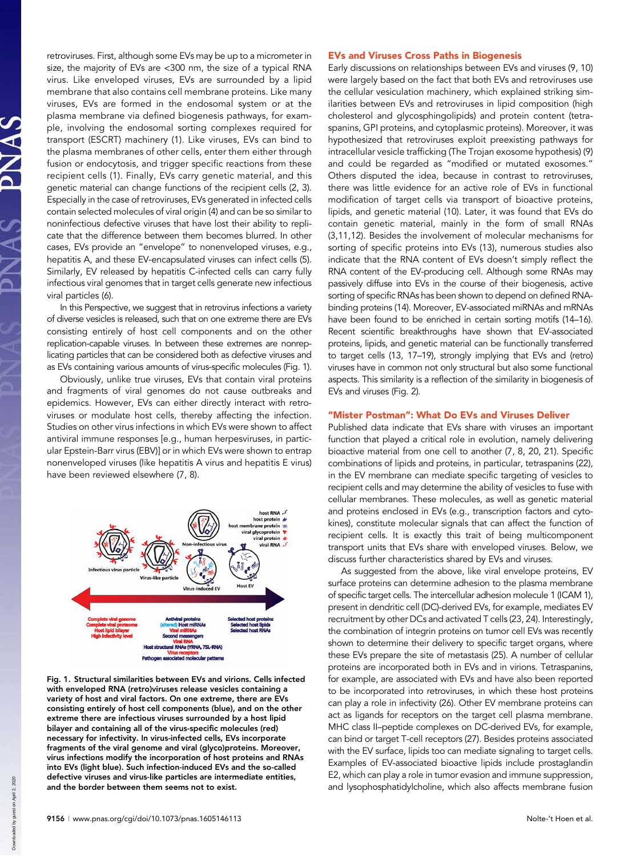retroviruses. First, although some EVs may be up to a micrometer in size, the majority of EVs are <300 nm, the size of a typical RNA virus. Like enveloped viruses, EVs are surrounded by a lipid membrane that also contains cell membrane proteins. Like many viruses, EVs are formed in the endosomal system or at the plasma membrane via defined biogenesis pathways, for example, involving the endosomal sorting complexes required for transport (ESCRT) machinery (1). Like viruses, EVs can bind to the plasma membranes of other cells, enter them either through fusion or endocytosis, and trigger specific reactions from these recipient cells (1). Finally, EVs carry genetic material, and this genetic material can change functions of the recipient cells (2, 3). Especially in the case of retroviruses, EVs generated in infected cells contain selected molecules of viral origin (4) and can be so similar to noninfectious defective viruses that have lost their ability to replicate that the difference between them becomes blurred. In other cases, EVs provide an "envelope" to nonenveloped viruses, e.g., hepatitis A, and these EV-encapsulated viruses can infect cells (5). Similarly, EV released by hepatitis C-infected cells can carry fully infectious viral genomes that in target cells generate new infectious viral particles (6).

In this Perspective, we suggest that in retrovirus infections a variety of diverse vesicles is released, such that on one extreme there are EVs consisting entirely of host cell components and on the other replication-capable viruses. In between these extremes are nonreplicating particles that can be considered both as defective viruses and as EVs containing various amounts of virus-specific molecules (Fig. 1).

Obviously, unlike true viruses, EVs that contain viral proteins and fragments of viral genomes do not cause outbreaks and epidemics. However, EVs can either directly interact with retroviruses or modulate host cells, thereby affecting the infection. Studies on other virus infections in which EVs were shown to affect antiviral immune responses [e.g., human herpesviruses, in particular Epstein-Barr virus (EBV)] or in which EVs were shown to entrap nonenveloped viruses (like hepatitis A virus and hepatitis E virus) have been reviewed elsewhere (7, 8).



Fig. 1. Structural similarities between EVs and virions. Cells infected with enveloped RNA (retro)viruses release vesicles containing a variety of host and viral factors. On one extreme, there are EVs consisting entirely of host cell components (blue), and on the other extreme there are infectious viruses surrounded by a host lipid bilayer and containing all of the virus-specific molecules (red) necessary for infectivity. In virus-infected cells, EVs incorporate fragments of the viral genome and viral (glyco)proteins. Moreover, virus infections modify the incorporation of host proteins and RNAs into EVs (light blue). Such infection-induced EVs and the so-called defective viruses and virus-like particles are intermediate entities, and the border between them seems not to exist.

#### EVs and Viruses Cross Paths in Biogenesis

Early discussions on relationships between EVs and viruses (9, 10) were largely based on the fact that both EVs and retroviruses use the cellular vesiculation machinery, which explained striking similarities between EVs and retroviruses in lipid composition (high cholesterol and glycosphingolipids) and protein content (tetraspanins, GPI proteins, and cytoplasmic proteins). Moreover, it was hypothesized that retroviruses exploit preexisting pathways for intracellular vesicle trafficking (The Trojan exosome hypothesis) (9) and could be regarded as "modified or mutated exosomes." Others disputed the idea, because in contrast to retroviruses, there was little evidence for an active role of EVs in functional modification of target cells via transport of bioactive proteins, lipids, and genetic material (10). Later, it was found that EVs do contain genetic material, mainly in the form of small RNAs (3,11,12). Besides the involvement of molecular mechanisms for sorting of specific proteins into EVs (13), numerous studies also indicate that the RNA content of EVs doesn't simply reflect the RNA content of the EV-producing cell. Although some RNAs may passively diffuse into EVs in the course of their biogenesis, active sorting of specific RNAs has been shown to depend on defined RNAbinding proteins (14). Moreover, EV-associated miRNAs and mRNAs have been found to be enriched in certain sorting motifs (14–16). Recent scientific breakthroughs have shown that EV-associated proteins, lipids, and genetic material can be functionally transferred to target cells (13, 17–19), strongly implying that EVs and (retro) viruses have in common not only structural but also some functional aspects. This similarity is a reflection of the similarity in biogenesis of EVs and viruses (Fig. 2).

## "Mister Postman": What Do EVs and Viruses Deliver

Published data indicate that EVs share with viruses an important function that played a critical role in evolution, namely delivering bioactive material from one cell to another (7, 8, 20, 21). Specific combinations of lipids and proteins, in particular, tetraspanins (22), in the EV membrane can mediate specific targeting of vesicles to recipient cells and may determine the ability of vesicles to fuse with cellular membranes. These molecules, as well as genetic material and proteins enclosed in EVs (e.g., transcription factors and cytokines), constitute molecular signals that can affect the function of recipient cells. It is exactly this trait of being multicomponent transport units that EVs share with enveloped viruses. Below, we discuss further characteristics shared by EVs and viruses.

As suggested from the above, like viral envelope proteins, EV surface proteins can determine adhesion to the plasma membrane of specific target cells. The intercellular adhesion molecule 1 (ICAM 1), present in dendritic cell (DC)-derived EVs, for example, mediates EV recruitment by other DCs and activated T cells (23, 24). Interestingly, the combination of integrin proteins on tumor cell EVs was recently shown to determine their delivery to specific target organs, where these EVs prepare the site of metastasis (25). A number of cellular proteins are incorporated both in EVs and in virions. Tetraspanins, for example, are associated with EVs and have also been reported to be incorporated into retroviruses, in which these host proteins can play a role in infectivity (26). Other EV membrane proteins can act as ligands for receptors on the target cell plasma membrane. MHC class II–peptide complexes on DC-derived EVs, for example, can bind or target T-cell receptors (27). Besides proteins associated with the EV surface, lipids too can mediate signaling to target cells. Examples of EV-associated bioactive lipids include prostaglandin E2, which can play a role in tumor evasion and immune suppression, and lysophosphatidylcholine, which also affects membrane fusion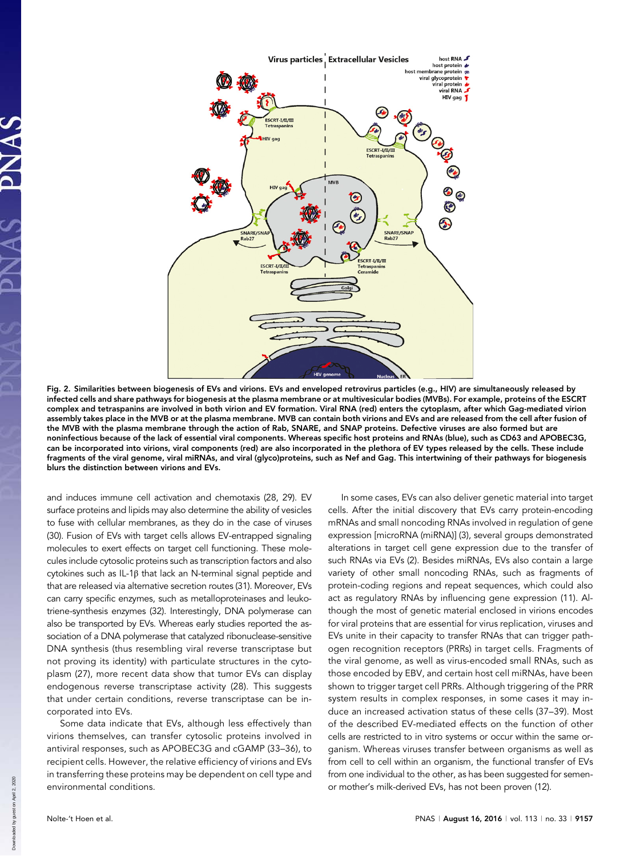

Fig. 2. Similarities between biogenesis of EVs and virions. EVs and enveloped retrovirus particles (e.g., HIV) are simultaneously released by infected cells and share pathways for biogenesis at the plasma membrane or at multivesicular bodies (MVBs). For example, proteins of the ESCRT complex and tetraspanins are involved in both virion and EV formation. Viral RNA (red) enters the cytoplasm, after which Gag-mediated virion assembly takes place in the MVB or at the plasma membrane. MVB can contain both virions and EVs and are released from the cell after fusion of the MVB with the plasma membrane through the action of Rab, SNARE, and SNAP proteins. Defective viruses are also formed but are noninfectious because of the lack of essential viral components. Whereas specific host proteins and RNAs (blue), such as CD63 and APOBEC3G, can be incorporated into virions, viral components (red) are also incorporated in the plethora of EV types released by the cells. These include fragments of the viral genome, viral miRNAs, and viral (glyco)proteins, such as Nef and Gag. This intertwining of their pathways for biogenesis blurs the distinction between virions and EVs.

and induces immune cell activation and chemotaxis (28, 29). EV surface proteins and lipids may also determine the ability of vesicles to fuse with cellular membranes, as they do in the case of viruses (30). Fusion of EVs with target cells allows EV-entrapped signaling molecules to exert effects on target cell functioning. These molecules include cytosolic proteins such as transcription factors and also cytokines such as IL-1β that lack an N-terminal signal peptide and that are released via alternative secretion routes (31). Moreover, EVs can carry specific enzymes, such as metalloproteinases and leukotriene-synthesis enzymes (32). Interestingly, DNA polymerase can also be transported by EVs. Whereas early studies reported the association of a DNA polymerase that catalyzed ribonuclease-sensitive DNA synthesis (thus resembling viral reverse transcriptase but not proving its identity) with particulate structures in the cytoplasm (27), more recent data show that tumor EVs can display endogenous reverse transcriptase activity (28). This suggests that under certain conditions, reverse transcriptase can be incorporated into EVs.

Some data indicate that EVs, although less effectively than virions themselves, can transfer cytosolic proteins involved in antiviral responses, such as APOBEC3G and cGAMP (33–36), to recipient cells. However, the relative efficiency of virions and EVs in transferring these proteins may be dependent on cell type and environmental conditions.

In some cases, EVs can also deliver genetic material into target cells. After the initial discovery that EVs carry protein-encoding mRNAs and small noncoding RNAs involved in regulation of gene expression [microRNA (miRNA)] (3), several groups demonstrated alterations in target cell gene expression due to the transfer of such RNAs via EVs (2). Besides miRNAs, EVs also contain a large variety of other small noncoding RNAs, such as fragments of protein-coding regions and repeat sequences, which could also act as regulatory RNAs by influencing gene expression (11). Although the most of genetic material enclosed in virions encodes for viral proteins that are essential for virus replication, viruses and EVs unite in their capacity to transfer RNAs that can trigger pathogen recognition receptors (PRRs) in target cells. Fragments of the viral genome, as well as virus-encoded small RNAs, such as those encoded by EBV, and certain host cell miRNAs, have been shown to trigger target cell PRRs. Although triggering of the PRR system results in complex responses, in some cases it may induce an increased activation status of these cells (37–39). Most of the described EV-mediated effects on the function of other cells are restricted to in vitro systems or occur within the same organism. Whereas viruses transfer between organisms as well as from cell to cell within an organism, the functional transfer of EVs from one individual to the other, as has been suggested for semenor mother's milk-derived EVs, has not been proven (12).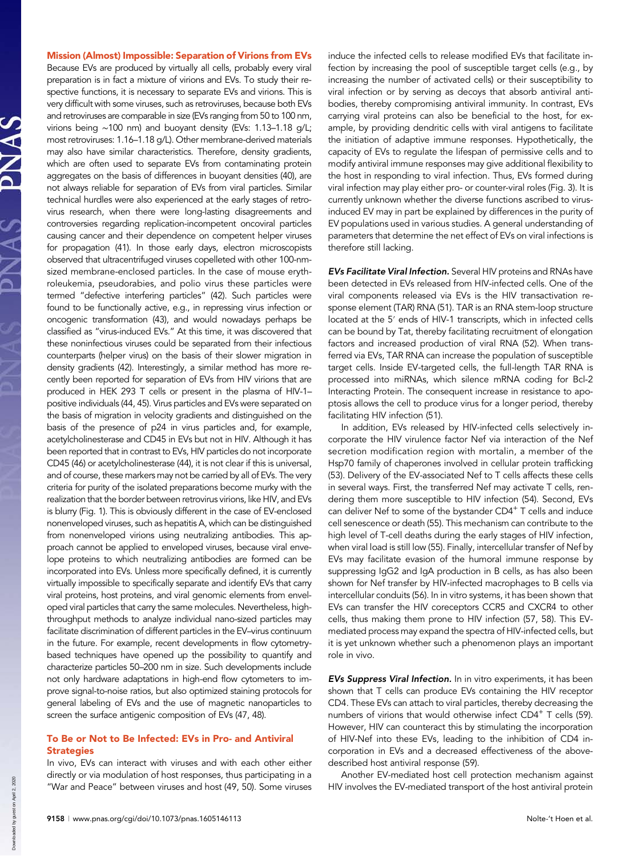Mission (Almost) Impossible: Separation of Virions from EVs Because EVs are produced by virtually all cells, probably every viral preparation is in fact a mixture of virions and EVs. To study their respective functions, it is necessary to separate EVs and virions. This is very difficult with some viruses, such as retroviruses, because both EVs and retroviruses are comparable in size (EVs ranging from 50 to 100 nm, virions being ∼100 nm) and buoyant density (EVs: 1.13–1.18 g/L; most retroviruses: 1.16–1.18 g/L). Other membrane-derived materials may also have similar characteristics. Therefore, density gradients, which are often used to separate EVs from contaminating protein aggregates on the basis of differences in buoyant densities (40), are not always reliable for separation of EVs from viral particles. Similar technical hurdles were also experienced at the early stages of retrovirus research, when there were long-lasting disagreements and controversies regarding replication-incompetent oncoviral particles causing cancer and their dependence on competent helper viruses for propagation (41). In those early days, electron microscopists observed that ultracentrifuged viruses copelleted with other 100-nmsized membrane-enclosed particles. In the case of mouse erythroleukemia, pseudorabies, and polio virus these particles were termed "defective interfering particles" (42). Such particles were found to be functionally active, e.g., in repressing virus infection or oncogenic transformation (43), and would nowadays perhaps be classified as "virus-induced EVs." At this time, it was discovered that these noninfectious viruses could be separated from their infectious counterparts (helper virus) on the basis of their slower migration in density gradients (42). Interestingly, a similar method has more recently been reported for separation of EVs from HIV virions that are produced in HEK 293 T cells or present in the plasma of HIV-1– positive individuals (44, 45). Virus particles and EVs were separated on the basis of migration in velocity gradients and distinguished on the basis of the presence of p24 in virus particles and, for example, acetylcholinesterase and CD45 in EVs but not in HIV. Although it has been reported that in contrast to EVs, HIV particles do not incorporate CD45 (46) or acetylcholinesterase (44), it is not clear if this is universal, and of course, these markers may not be carried by all of EVs. The very criteria for purity of the isolated preparations become murky with the realization that the border between retrovirus virions, like HIV, and EVs is blurry (Fig. 1). This is obviously different in the case of EV-enclosed nonenveloped viruses, such as hepatitis A, which can be distinguished from nonenveloped virions using neutralizing antibodies. This approach cannot be applied to enveloped viruses, because viral envelope proteins to which neutralizing antibodies are formed can be incorporated into EVs. Unless more specifically defined, it is currently virtually impossible to specifically separate and identify EVs that carry viral proteins, host proteins, and viral genomic elements from enveloped viral particles that carry the same molecules. Nevertheless, highthroughput methods to analyze individual nano-sized particles may facilitate discrimination of different particles in the EV–virus continuum in the future. For example, recent developments in flow cytometrybased techniques have opened up the possibility to quantify and characterize particles 50–200 nm in size. Such developments include not only hardware adaptations in high-end flow cytometers to improve signal-to-noise ratios, but also optimized staining protocols for general labeling of EVs and the use of magnetic nanoparticles to screen the surface antigenic composition of EVs (47, 48).

# To Be or Not to Be Infected: EVs in Pro- and Antiviral **Strategies**

In vivo, EVs can interact with viruses and with each other either directly or via modulation of host responses, thus participating in a "War and Peace" between viruses and host (49, 50). Some viruses induce the infected cells to release modified EVs that facilitate infection by increasing the pool of susceptible target cells (e.g., by increasing the number of activated cells) or their susceptibility to viral infection or by serving as decoys that absorb antiviral antibodies, thereby compromising antiviral immunity. In contrast, EVs carrying viral proteins can also be beneficial to the host, for example, by providing dendritic cells with viral antigens to facilitate the initiation of adaptive immune responses. Hypothetically, the capacity of EVs to regulate the lifespan of permissive cells and to modify antiviral immune responses may give additional flexibility to the host in responding to viral infection. Thus, EVs formed during viral infection may play either pro- or counter-viral roles (Fig. 3). It is currently unknown whether the diverse functions ascribed to virusinduced EV may in part be explained by differences in the purity of EV populations used in various studies. A general understanding of parameters that determine the net effect of EVs on viral infections is therefore still lacking.

**EVs Facilitate Viral Infection.** Several HIV proteins and RNAs have been detected in EVs released from HIV-infected cells. One of the viral components released via EVs is the HIV transactivation response element (TAR) RNA (51). TAR is an RNA stem-loop structure located at the 5′ ends of HIV-1 transcripts, which in infected cells can be bound by Tat, thereby facilitating recruitment of elongation factors and increased production of viral RNA (52). When transferred via EVs, TAR RNA can increase the population of susceptible target cells. Inside EV-targeted cells, the full-length TAR RNA is processed into miRNAs, which silence mRNA coding for Bcl-2 Interacting Protein. The consequent increase in resistance to apoptosis allows the cell to produce virus for a longer period, thereby facilitating HIV infection (51).

In addition, EVs released by HIV-infected cells selectively incorporate the HIV virulence factor Nef via interaction of the Nef secretion modification region with mortalin, a member of the Hsp70 family of chaperones involved in cellular protein trafficking (53). Delivery of the EV-associated Nef to T cells affects these cells in several ways. First, the transferred Nef may activate T cells, rendering them more susceptible to HIV infection (54). Second, EVs can deliver Nef to some of the bystander CD4<sup>+</sup> T cells and induce cell senescence or death (55). This mechanism can contribute to the high level of T-cell deaths during the early stages of HIV infection, when viral load is still low (55). Finally, intercellular transfer of Nef by EVs may facilitate evasion of the humoral immune response by suppressing IgG2 and IgA production in B cells, as has also been shown for Nef transfer by HIV-infected macrophages to B cells via intercellular conduits (56). In in vitro systems, it has been shown that EVs can transfer the HIV coreceptors CCR5 and CXCR4 to other cells, thus making them prone to HIV infection (57, 58). This EVmediated process may expand the spectra of HIV-infected cells, but it is yet unknown whether such a phenomenon plays an important role in vivo.

EVs Suppress Viral Infection. In in vitro experiments, it has been shown that T cells can produce EVs containing the HIV receptor CD4. These EVs can attach to viral particles, thereby decreasing the numbers of virions that would otherwise infect CD4<sup>+</sup> T cells (59). However, HIV can counteract this by stimulating the incorporation of HIV-Nef into these EVs, leading to the inhibition of CD4 incorporation in EVs and a decreased effectiveness of the abovedescribed host antiviral response (59).

Another EV-mediated host cell protection mechanism against HIV involves the EV-mediated transport of the host antiviral protein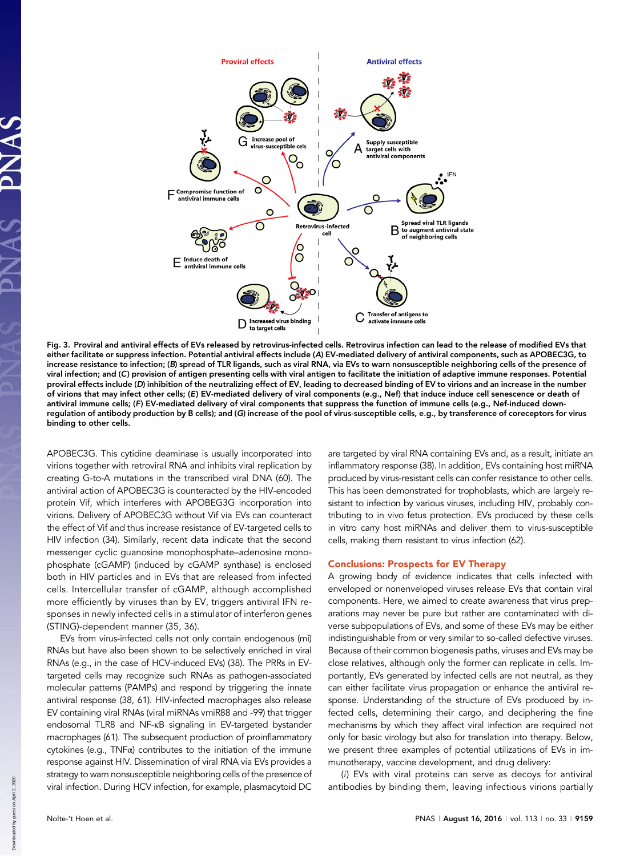

Fig. 3. Proviral and antiviral effects of EVs released by retrovirus-infected cells. Retrovirus infection can lead to the release of modified EVs that either facilitate or suppress infection. Potential antiviral effects include (A) EV-mediated delivery of antiviral components, such as APOBEC3G, to increase resistance to infection; (B) spread of TLR ligands, such as viral RNA, via EVs to warn nonsusceptible neighboring cells of the presence of viral infection; and (C) provision of antigen presenting cells with viral antigen to facilitate the initiation of adaptive immune responses. Potential proviral effects include (D) inhibition of the neutralizing effect of EV, leading to decreased binding of EV to virions and an increase in the number of virions that may infect other cells; (E) EV-mediated delivery of viral components (e.g., Nef) that induce induce cell senescence or death of antiviral immune cells; (F) EV-mediated delivery of viral components that suppress the function of immune cells (e.g., Nef-induced downregulation of antibody production by B cells); and (G) increase of the pool of virus-susceptible cells, e.g., by transference of coreceptors for virus binding to other cells.

APOBEC3G. This cytidine deaminase is usually incorporated into virions together with retroviral RNA and inhibits viral replication by creating G-to-A mutations in the transcribed viral DNA (60). The antiviral action of APOBEC3G is counteracted by the HIV-encoded protein Vif, which interferes with APOBEG3G incorporation into virions. Delivery of APOBEC3G without Vif via EVs can counteract the effect of Vif and thus increase resistance of EV-targeted cells to HIV infection (34). Similarly, recent data indicate that the second messenger cyclic guanosine monophosphate–adenosine monophosphate (cGAMP) (induced by cGAMP synthase) is enclosed both in HIV particles and in EVs that are released from infected cells. Intercellular transfer of cGAMP, although accomplished more efficiently by viruses than by EV, triggers antiviral IFN responses in newly infected cells in a stimulator of interferon genes (STING)-dependent manner (35, 36).

EVs from virus-infected cells not only contain endogenous (mi) RNAs but have also been shown to be selectively enriched in viral RNAs (e.g., in the case of HCV-induced EVs) (38). The PRRs in EVtargeted cells may recognize such RNAs as pathogen-associated molecular patterns (PAMPs) and respond by triggering the innate antiviral response (38, 61). HIV-infected macrophages also release EV containing viral RNAs (viral miRNAs vmiR88 and -99) that trigger endosomal TLR8 and NF-κB signaling in EV-targeted bystander macrophages (61). The subsequent production of proinflammatory cytokines (e.g., TNFα) contributes to the initiation of the immune response against HIV. Dissemination of viral RNA via EVs provides a strategy to warn nonsusceptible neighboring cells of the presence of viral infection. During HCV infection, for example, plasmacytoid DC are targeted by viral RNA containing EVs and, as a result, initiate an inflammatory response (38). In addition, EVs containing host miRNA produced by virus-resistant cells can confer resistance to other cells. This has been demonstrated for trophoblasts, which are largely resistant to infection by various viruses, including HIV, probably contributing to in vivo fetus protection. EVs produced by these cells in vitro carry host miRNAs and deliver them to virus-susceptible cells, making them resistant to virus infection (62).

## Conclusions: Prospects for EV Therapy

A growing body of evidence indicates that cells infected with enveloped or nonenveloped viruses release EVs that contain viral components. Here, we aimed to create awareness that virus preparations may never be pure but rather are contaminated with diverse subpopulations of EVs, and some of these EVs may be either indistinguishable from or very similar to so-called defective viruses. Because of their common biogenesis paths, viruses and EVs may be close relatives, although only the former can replicate in cells. Importantly, EVs generated by infected cells are not neutral, as they can either facilitate virus propagation or enhance the antiviral response. Understanding of the structure of EVs produced by infected cells, determining their cargo, and deciphering the fine mechanisms by which they affect viral infection are required not only for basic virology but also for translation into therapy. Below, we present three examples of potential utilizations of EVs in immunotherapy, vaccine development, and drug delivery:

(i) EVs with viral proteins can serve as decoys for antiviral antibodies by binding them, leaving infectious virions partially

Down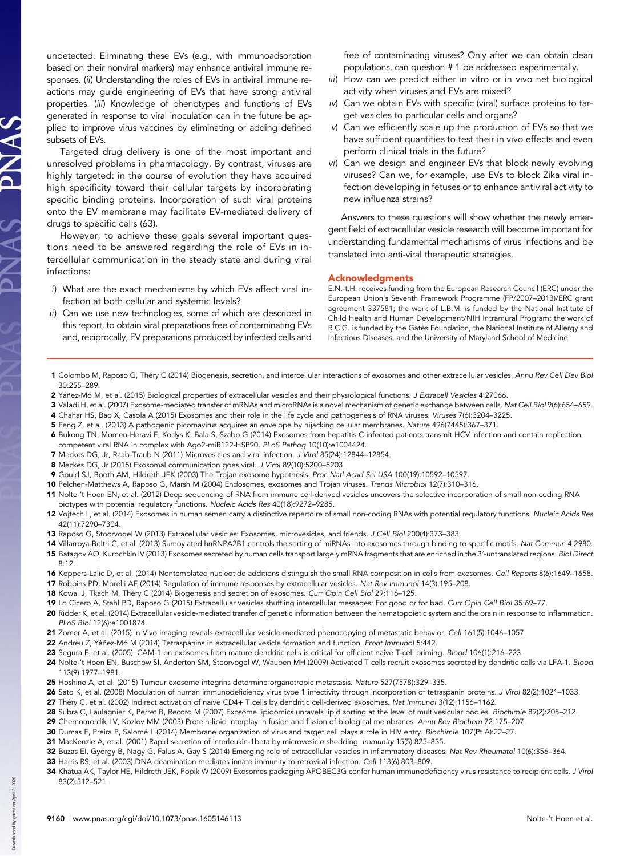undetected. Eliminating these EVs (e.g., with immunoadsorption based on their nonviral markers) may enhance antiviral immune responses. (ii) Understanding the roles of EVs in antiviral immune reactions may guide engineering of EVs that have strong antiviral properties. (iii) Knowledge of phenotypes and functions of EVs generated in response to viral inoculation can in the future be applied to improve virus vaccines by eliminating or adding defined subsets of EVs.

Targeted drug delivery is one of the most important and unresolved problems in pharmacology. By contrast, viruses are highly targeted: in the course of evolution they have acquired high specificity toward their cellular targets by incorporating specific binding proteins. Incorporation of such viral proteins onto the EV membrane may facilitate EV-mediated delivery of drugs to specific cells (63).

However, to achieve these goals several important questions need to be answered regarding the role of EVs in intercellular communication in the steady state and during viral infections:

- i) What are the exact mechanisms by which EVs affect viral infection at both cellular and systemic levels?
- Can we use new technologies, some of which are described in this report, to obtain viral preparations free of contaminating EVs and, reciprocally, EV preparations produced by infected cells and

free of contaminating viruses? Only after we can obtain clean populations, can question # 1 be addressed experimentally.

- How can we predict either in vitro or in vivo net biological activity when viruses and EVs are mixed?
- iv) Can we obtain EVs with specific (viral) surface proteins to target vesicles to particular cells and organs?
- v) Can we efficiently scale up the production of EVs so that we have sufficient quantities to test their in vivo effects and even perform clinical trials in the future?
- vi) Can we design and engineer EVs that block newly evolving viruses? Can we, for example, use EVs to block Zika viral infection developing in fetuses or to enhance antiviral activity to new influenza strains?

Answers to these questions will show whether the newly emergent field of extracellular vesicle research will become important for understanding fundamental mechanisms of virus infections and be translated into anti-viral therapeutic strategies.

#### Acknowledgments

E.N.-t.H. receives funding from the European Research Council (ERC) under the European Union's Seventh Framework Programme (FP/2007–2013)/ERC grant agreement 337581; the work of L.B.M. is funded by the National Institute of Child Health and Human Development/NIH Intramural Program; the work of R.C.G. is funded by the Gates Foundation, the National Institute of Allergy and Infectious Diseases, and the University of Maryland School of Medicine.

- 1 Colombo M, Raposo G, Théry C (2014) Biogenesis, secretion, and intercellular interactions of exosomes and other extracellular vesicles. Annu Rev Cell Dev Biol 30:255–289.
- 2 Yáñez-Mó M, et al. (2015) Biological properties of extracellular vesicles and their physiological functions. J Extracell Vesicles 4:27066.
- 3 Valadi H, et al. (2007) Exosome-mediated transfer of mRNAs and microRNAs is a novel mechanism of genetic exchange between cells. Nat Cell Biol 9(6):654–659.
- 4 Chahar HS, Bao X, Casola A (2015) Exosomes and their role in the life cycle and pathogenesis of RNA viruses. Viruses 7(6):3204–3225.
- 5 Feng Z, et al. (2013) A pathogenic picornavirus acquires an envelope by hijacking cellular membranes. Nature 496(7445):367–371.
- 6 Bukong TN, Momen-Heravi F, Kodys K, Bala S, Szabo G (2014) Exosomes from hepatitis C infected patients transmit HCV infection and contain replication competent viral RNA in complex with Ago2-miR122-HSP90. PLoS Pathog 10(10):e1004424.
- 7 Meckes DG, Jr, Raab-Traub N (2011) Microvesicles and viral infection. J Virol 85(24):12844–12854.
- 8 Meckes DG, Jr (2015) Exosomal communication goes viral. J Virol 89(10):5200–5203.
- 9 Gould SJ, Booth AM, Hildreth JEK (2003) The Trojan exosome hypothesis. Proc Natl Acad Sci USA 100(19):10592–10597.
- 10 Pelchen-Matthews A, Raposo G, Marsh M (2004) Endosomes, exosomes and Trojan viruses. Trends Microbiol 12(7):310–316.
- 11 Nolte-'t Hoen EN, et al. (2012) Deep sequencing of RNA from immune cell-derived vesicles uncovers the selective incorporation of small non-coding RNA biotypes with potential regulatory functions. Nucleic Acids Res 40(18):9272–9285.
- 12 Vojtech L, et al. (2014) Exosomes in human semen carry a distinctive repertoire of small non-coding RNAs with potential regulatory functions. Nucleic Acids Res 42(11):7290–7304.
- 13 Raposo G, Stoorvogel W (2013) Extracellular vesicles: Exosomes, microvesicles, and friends. J Cell Biol 200(4):373–383.
- 14 Villarroya-Beltri C, et al. (2013) Sumoylated hnRNPA2B1 controls the sorting of miRNAs into exosomes through binding to specific motifs. Nat Commun 4:2980. 15 Batagov AO, Kurochkin IV (2013) Exosomes secreted by human cells transport largely mRNA fragments that are enriched in the 3'-untranslated regions. Biol Direct 8:12.
- 16 Koppers-Lalic D, et al. (2014) Nontemplated nucleotide additions distinguish the small RNA composition in cells from exosomes. Cell Reports 8(6):1649-1658.
- 17 Robbins PD, Morelli AE (2014) Regulation of immune responses by extracellular vesicles. Nat Rev Immunol 14(3):195–208.
- 18 Kowal J, Tkach M, Théry C (2014) Biogenesis and secretion of exosomes. Curr Opin Cell Biol 29:116-125.
- 19 Lo Cicero A, Stahl PD, Raposo G (2015) Extracellular vesicles shuffling intercellular messages: For good or for bad. Curr Opin Cell Biol 35:69-77.
- 20 Ridder K, et al. (2014) Extracellular vesicle-mediated transfer of genetic information between the hematopoietic system and the brain in response to inflammation. PLoS Biol 12(6):e1001874.
- 21 Zomer A, et al. (2015) In Vivo imaging reveals extracellular vesicle-mediated phenocopying of metastatic behavior. Cell 161(5):1046-1057.
- 22 Andreu Z, Yáñez-Mó M (2014) Tetraspanins in extracellular vesicle formation and function. Front Immunol 5:442.
- 23 Segura E, et al. (2005) ICAM-1 on exosomes from mature dendritic cells is critical for efficient naive T-cell priming. Blood 106(1):216-223.
- 24 Nolte-'t Hoen EN, Buschow SI, Anderton SM, Stoorvogel W, Wauben MH (2009) Activated T cells recruit exosomes secreted by dendritic cells via LFA-1. Blood 113(9):1977–1981.
- 25 Hoshino A, et al. (2015) Tumour exosome integrins determine organotropic metastasis. Nature 527(7578):329–335.
- 26 Sato K, et al. (2008) Modulation of human immunodeficiency virus type 1 infectivity through incorporation of tetraspanin proteins. J Virol 82(2):1021-1033.
- 27 Théry C, et al. (2002) Indirect activation of naïve CD4+ T cells by dendritic cell-derived exosomes. Nat Immunol 3(12):1156-1162.
- 28 Subra C, Laulagnier K, Perret B, Record M (2007) Exosome lipidomics unravels lipid sorting at the level of multivesicular bodies. Biochimie 89(2):205–212.
- 29 Chernomordik LV, Kozlov MM (2003) Protein-lipid interplay in fusion and fission of biological membranes. Annu Rev Biochem 72:175–207.
- 30 Dumas F, Preira P, Salomé L (2014) Membrane organization of virus and target cell plays a role in HIV entry. Biochimie 107(Pt A):22-27.
- 31 MacKenzie A, et al. (2001) Rapid secretion of interleukin-1beta by microvesicle shedding. Immunity 15(5):825–835.
- 32 Buzas EI, György B, Nagy G, Falus A, Gay S (2014) Emerging role of extracellular vesicles in inflammatory diseases. Nat Rev Rheumatol 10(6):356-364.
- 33 Harris RS, et al. (2003) DNA deamination mediates innate immunity to retroviral infection. Cell 113(6):803-809.
- 34 Khatua AK, Taylor HE, Hildreth JEK, Popik W (2009) Exosomes packaging APOBEC3G confer human immunodeficiency virus resistance to recipient cells. J Virol 83(2):512–521.

X<br>A<br>Z